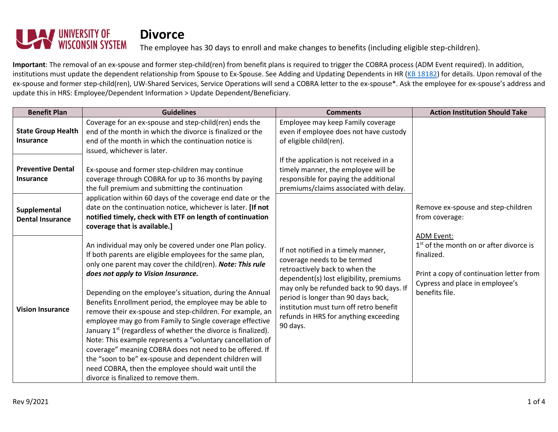

The employee has 30 days to enroll and make changes to benefits (including eligible step-children).

**Important**: The removal of an ex-spouse and former step-child(ren) from benefit plans is required to trigger the COBRA process (ADM Event required). In addition, institutions must update the dependent relationship from Spouse to Ex-Spouse. See Adding and Updating Dependents in HR [\(KB 18182\)](https://kb.uwss.wisconsin.edu/page.php?id=18182) for details. Upon removal of the ex-spouse and former step-child(ren), UW-Shared Services, Service Operations will send a COBRA letter to the ex-spouse\*. Ask the employee for ex-spouse's address and update this in HRS: Employee/Dependent Information > Update Dependent/Beneficiary.

| <b>Benefit Plan</b>                           | <b>Guidelines</b>                                                                                                                                                                                                                                                                                                                                                                                                                                                                                                                                                                                                    | <b>Comments</b>                                                                                                                                                                                                                                                                                                                    | <b>Action Institution Should Take</b>                                                                                                                                  |
|-----------------------------------------------|----------------------------------------------------------------------------------------------------------------------------------------------------------------------------------------------------------------------------------------------------------------------------------------------------------------------------------------------------------------------------------------------------------------------------------------------------------------------------------------------------------------------------------------------------------------------------------------------------------------------|------------------------------------------------------------------------------------------------------------------------------------------------------------------------------------------------------------------------------------------------------------------------------------------------------------------------------------|------------------------------------------------------------------------------------------------------------------------------------------------------------------------|
| <b>State Group Health</b><br><b>Insurance</b> | Coverage for an ex-spouse and step-child(ren) ends the<br>end of the month in which the divorce is finalized or the<br>end of the month in which the continuation notice is<br>issued, whichever is later.                                                                                                                                                                                                                                                                                                                                                                                                           | Employee may keep Family coverage<br>even if employee does not have custody<br>of eligible child(ren).                                                                                                                                                                                                                             |                                                                                                                                                                        |
| <b>Preventive Dental</b><br><b>Insurance</b>  | Ex-spouse and former step-children may continue<br>coverage through COBRA for up to 36 months by paying<br>the full premium and submitting the continuation                                                                                                                                                                                                                                                                                                                                                                                                                                                          | If the application is not received in a<br>timely manner, the employee will be<br>responsible for paying the additional<br>premiums/claims associated with delay.                                                                                                                                                                  |                                                                                                                                                                        |
| Supplemental<br><b>Dental Insurance</b>       | application within 60 days of the coverage end date or the<br>date on the continuation notice, whichever is later. [If not<br>notified timely, check with ETF on length of continuation<br>coverage that is available.]                                                                                                                                                                                                                                                                                                                                                                                              |                                                                                                                                                                                                                                                                                                                                    | Remove ex-spouse and step-children<br>from coverage:                                                                                                                   |
| <b>Vision Insurance</b>                       | An individual may only be covered under one Plan policy.<br>If both parents are eligible employees for the same plan,<br>only one parent may cover the child(ren). Note: This rule<br>does not apply to Vision Insurance.<br>Depending on the employee's situation, during the Annual<br>Benefits Enrollment period, the employee may be able to<br>remove their ex-spouse and step-children. For example, an<br>employee may go from Family to Single coverage effective<br>January 1 <sup>st</sup> (regardless of whether the divorce is finalized).<br>Note: This example represents a "voluntary cancellation of | If not notified in a timely manner,<br>coverage needs to be termed<br>retroactively back to when the<br>dependent(s) lost eligibility, premiums<br>may only be refunded back to 90 days. If<br>period is longer than 90 days back,<br>institution must turn off retro benefit<br>refunds in HRS for anything exceeding<br>90 days. | ADM Event:<br>$1st$ of the month on or after divorce is<br>finalized.<br>Print a copy of continuation letter from<br>Cypress and place in employee's<br>benefits file. |
|                                               | coverage" meaning COBRA does not need to be offered. If<br>the "soon to be" ex-spouse and dependent children will<br>need COBRA, then the employee should wait until the<br>divorce is finalized to remove them.                                                                                                                                                                                                                                                                                                                                                                                                     |                                                                                                                                                                                                                                                                                                                                    |                                                                                                                                                                        |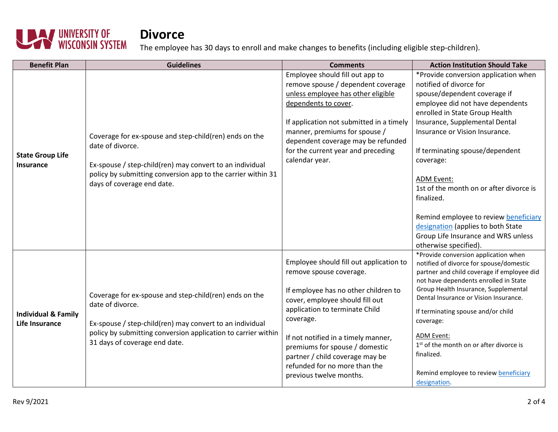

The employee has 30 days to enroll and make changes to benefits (including eligible step-children).

| <b>Benefit Plan</b>                              | <b>Guidelines</b>                                                                                                                                                                                                                        | <b>Comments</b>                                                                                                                                                                                                                                                                                                                                                      | <b>Action Institution Should Take</b>                                                                                                                                                                                                                                                                                                                                                                                                                                                                                  |
|--------------------------------------------------|------------------------------------------------------------------------------------------------------------------------------------------------------------------------------------------------------------------------------------------|----------------------------------------------------------------------------------------------------------------------------------------------------------------------------------------------------------------------------------------------------------------------------------------------------------------------------------------------------------------------|------------------------------------------------------------------------------------------------------------------------------------------------------------------------------------------------------------------------------------------------------------------------------------------------------------------------------------------------------------------------------------------------------------------------------------------------------------------------------------------------------------------------|
| <b>State Group Life</b><br><b>Insurance</b>      | Coverage for ex-spouse and step-child(ren) ends on the<br>date of divorce.<br>Ex-spouse / step-child(ren) may convert to an individual<br>policy by submitting conversion app to the carrier within 31<br>days of coverage end date.     | Employee should fill out app to<br>remove spouse / dependent coverage<br>unless employee has other eligible<br>dependents to cover.<br>If application not submitted in a timely<br>manner, premiums for spouse /<br>dependent coverage may be refunded<br>for the current year and preceding<br>calendar year.                                                       | *Provide conversion application when<br>notified of divorce for<br>spouse/dependent coverage if<br>employee did not have dependents<br>enrolled in State Group Health<br>Insurance, Supplemental Dental<br>Insurance or Vision Insurance.<br>If terminating spouse/dependent<br>coverage:<br><b>ADM Event:</b><br>1st of the month on or after divorce is<br>finalized.<br>Remind employee to review beneficiary<br>designation (applies to both State<br>Group Life Insurance and WRS unless<br>otherwise specified). |
| <b>Individual &amp; Family</b><br>Life Insurance | Coverage for ex-spouse and step-child(ren) ends on the<br>date of divorce.<br>Ex-spouse / step-child(ren) may convert to an individual<br>policy by submitting conversion application to carrier within<br>31 days of coverage end date. | Employee should fill out application to<br>remove spouse coverage.<br>If employee has no other children to<br>cover, employee should fill out<br>application to terminate Child<br>coverage.<br>If not notified in a timely manner,<br>premiums for spouse / domestic<br>partner / child coverage may be<br>refunded for no more than the<br>previous twelve months. | *Provide conversion application when<br>notified of divorce for spouse/domestic<br>partner and child coverage if employee did<br>not have dependents enrolled in State<br>Group Health Insurance, Supplemental<br>Dental Insurance or Vision Insurance.<br>If terminating spouse and/or child<br>coverage:<br><b>ADM Event:</b><br>1 <sup>st</sup> of the month on or after divorce is<br>finalized.<br>Remind employee to review <b>beneficiary</b><br>designation.                                                   |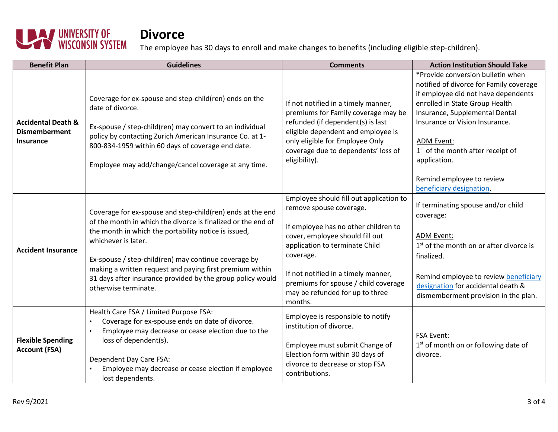

The employee has 30 days to enroll and make changes to benefits (including eligible step-children).

| <b>Benefit Plan</b>                                                       | <b>Guidelines</b>                                                                                                                                                                                                                                                                                                                                                                                                   | <b>Comments</b>                                                                                                                                                                                                                                                                                                           | <b>Action Institution Should Take</b>                                                                                                                                                                                                                                                                    |
|---------------------------------------------------------------------------|---------------------------------------------------------------------------------------------------------------------------------------------------------------------------------------------------------------------------------------------------------------------------------------------------------------------------------------------------------------------------------------------------------------------|---------------------------------------------------------------------------------------------------------------------------------------------------------------------------------------------------------------------------------------------------------------------------------------------------------------------------|----------------------------------------------------------------------------------------------------------------------------------------------------------------------------------------------------------------------------------------------------------------------------------------------------------|
| <b>Accidental Death &amp;</b><br><b>Dismemberment</b><br><b>Insurance</b> | Coverage for ex-spouse and step-child(ren) ends on the<br>date of divorce.<br>Ex-spouse / step-child(ren) may convert to an individual<br>policy by contacting Zurich American Insurance Co. at 1-<br>800-834-1959 within 60 days of coverage end date.<br>Employee may add/change/cancel coverage at any time.                                                                                                     | If not notified in a timely manner,<br>premiums for Family coverage may be<br>refunded (if dependent(s) is last<br>eligible dependent and employee is<br>only eligible for Employee Only<br>coverage due to dependents' loss of<br>eligibility).                                                                          | *Provide conversion bulletin when<br>notified of divorce for Family coverage<br>if employee did not have dependents<br>enrolled in State Group Health<br>Insurance, Supplemental Dental<br>Insurance or Vision Insurance.<br>ADM Event:<br>1 <sup>st</sup> of the month after receipt of<br>application. |
|                                                                           |                                                                                                                                                                                                                                                                                                                                                                                                                     |                                                                                                                                                                                                                                                                                                                           | Remind employee to review<br>beneficiary designation.                                                                                                                                                                                                                                                    |
| <b>Accident Insurance</b>                                                 | Coverage for ex-spouse and step-child(ren) ends at the end<br>of the month in which the divorce is finalized or the end of<br>the month in which the portability notice is issued,<br>whichever is later.<br>Ex-spouse / step-child(ren) may continue coverage by<br>making a written request and paying first premium within<br>31 days after insurance provided by the group policy would<br>otherwise terminate. | Employee should fill out application to<br>remove spouse coverage.<br>If employee has no other children to<br>cover, employee should fill out<br>application to terminate Child<br>coverage.<br>If not notified in a timely manner,<br>premiums for spouse / child coverage<br>may be refunded for up to three<br>months. | If terminating spouse and/or child<br>coverage:<br><b>ADM Event:</b><br>1 <sup>st</sup> of the month on or after divorce is<br>finalized.<br>Remind employee to review beneficiary<br>designation for accidental death &<br>dismemberment provision in the plan.                                         |
| <b>Flexible Spending</b><br><b>Account (FSA)</b>                          | Health Care FSA / Limited Purpose FSA:<br>Coverage for ex-spouse ends on date of divorce.<br>Employee may decrease or cease election due to the<br>loss of dependent(s).<br>Dependent Day Care FSA:<br>Employee may decrease or cease election if employee<br>lost dependents.                                                                                                                                      | Employee is responsible to notify<br>institution of divorce.<br>Employee must submit Change of<br>Election form within 30 days of<br>divorce to decrease or stop FSA<br>contributions.                                                                                                                                    | <b>FSA Event:</b><br>1 <sup>st</sup> of month on or following date of<br>divorce.                                                                                                                                                                                                                        |